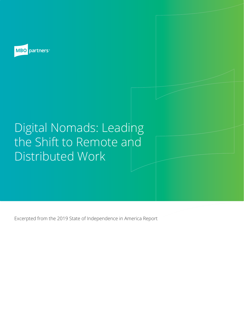

# Digital Nomads: Leading the Shift to Remote and Distributed Work

Excerpted from the 2019 State of Independence in America Report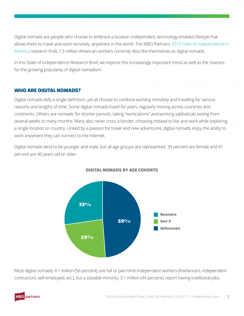Digital nomads are people who choose to embrace a location-independent, technology-enabled lifestyle that allows them to travel and work remotely, anywhere in the world. The MBO Partners [2019 State of Independence in](https://www.mbopartners.com/state-of-independence/)  [America](https://www.mbopartners.com/state-of-independence/) research finds 7.3 million American workers currently describe themselves as digital nomads.

In this State of Independence Research Brief, we explore this increasingly important trend as well as the reasons for the growing popularity of digital nomadism.

# **WHO ARE DIGITAL NOMADS?**

Digital nomads defy a single definition, yet all choose to combine working remotely and traveling for various reasons and lengths of time. Some digital nomads travel for years, regularly moving across countries and continents. Others are nomadic for shorter periods, taking "workcations" and working sabbaticals lasting from several weeks to many months. Many also never cross a border, choosing instead to live and work while exploring a single location or country. United by a passion for travel and new adventures, digital nomads enjoy the ability to work anywhere they can connect to the Internet.

Digital nomads tend to be younger and male, but all age groups are represented: 39 percent are female and 41 percent are 40 years old or older.



#### **DIGITAL NOMADS BY AGE COHORTS**

Most digital nomads, 4.1 million (56 percent), are full or part-time independent workers (freelancers, independent contractors, self-employed, etc.), but a sizeable minority, 3.1 million (44 percent), report having traditional jobs.

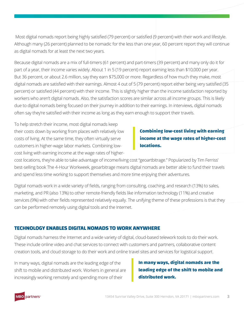Most digital nomads report being highly satisfied (79 percent) or satisfied (9 percent) with their work and lifestyle. Although many (26 percent) planned to be nomadic for the less than one year, 60 percent report they will continue as digital nomads for at least the next two years.

Because digital nomads are a mix of full-timers (61 percent) and part-timers (39 percent) and many only do it for part of a year, their income varies widely. About 1 in 5 (19 percent) report earning less than \$10,000 per year. But 36 percent, or about 2.6 million, say they earn \$75,000 or more. Regardless of how much they make, most digital nomads are satisfied with their earnings. Almost 4 out of 5 (79 percent) report either being very satisfied (35 percent) or satisfied (44 percent) with their income. This is slightly higher than the income satisfaction reported by workers who aren't digital nomads. Also, the satisfaction scores are similar across all income groups. This is likely due to digital nomads being focused on their journey in addition to their earnings. In interviews, digital nomads often say they're satisfied with their income as long as they earn enough to support their travels.

To help stretch their income, most digital nomads keep their costs down by working from places with relatively low costs of living. At the same time, they often virtually serve customers in higher-wage labor markets. Combining lowcost living with earning income at the wage rates of higher-

# **Combining low-cost living with earning income at the wage rates of higher-cost locations.**

cost locations, they're able to take advantage of income/living cost "geoartbitrage." Popularized by Tim Ferriss' best-selling book The 4-Hour Workweek, geoarbitrage means digital nomads are better able to fund their travels and spend less time working to support themselves and more time enjoying their adventures.

Digital nomads work in a wide variety of fields, ranging from consulting, coaching, and research (13%) to sales, marketing, and PR (also 13%) to other remote-friendly fields like information technology (11%) and creative services (9%) with other fields represented relatively equally. The unifying theme of these professions is that they can be performed remotely using digital tools and the Internet.

## **TECHNOLOGY ENABLES DIGITAL NOMADS TO WORK ANYWHERE**

Digital nomads harness the Internet and a wide variety of digital, cloud-based telework tools to do their work. These include online video and chat services to connect with customers and partners, collaborative content creation tools, and cloud storage to do their work and online travel sites and services for logistical support.

In many ways, digital nomads are the leading edge of the shift to mobile and distributed work. Workers in general are increasingly working remotely and spending more of their

# **In many ways, digital nomads are the leading edge of the shift to mobile and distributed work.**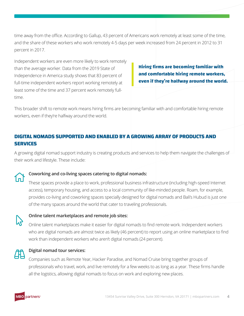time away from the office. According to Gallup, 43 percent of Americans work remotely at least some of the time, and the share of these workers who work remotely 4-5 days per week increased from 24 percent in 2012 to 31 percent in 2017.

Independent workers are even more likely to work remotely than the average worker. Data from the 2019 State of Independence in America study shows that 83 percent of full-time independent workers report working remotely at least some of the time and 37 percent work remotely fulltime.

**Hiring firms are becoming familiar with and comfortable hiring remote workers, even if they're halfway around the world.**

This broader shift to remote work means hiring firms are becoming familiar with and comfortable hiring remote workers, even if they're halfway around the world.

# **DIGITAL NOMADS SUPPORTED AND ENABLED BY A GROWING ARRAY OF PRODUCTS AND SERVICES**

A growing digital nomad support industry is creating products and services to help them navigate the challenges of their work and lifestyle. These include:



## **Coworking and co-living spaces catering to digital nomads:**

These spaces provide a place to work, professional business infrastructure (including high-speed Internet access), temporary housing, and access to a local community of like-minded people. Roam, for example, provides co-living and coworking spaces specially designed for digital nomads and Bali's Hubud is just one of the many spaces around the world that cater to traveling professionals.



## **Online talent marketplaces and remote job sites:**

Online talent marketplaces make it easier for digital nomads to find remote work. Independent workers who are digital nomads are almost twice as likely (46 percent) to report using an online marketplace to find work than independent workers who aren't digital nomads (24 percent).



#### **Digital nomad tour services:**

Companies such as Remote Year, Hacker Paradise, and Nomad Cruise bring together groups of professionals who travel, work, and live remotely for a few weeks to as long as a year. These firms handle all the logistics, allowing digital nomads to focus on work and exploring new places.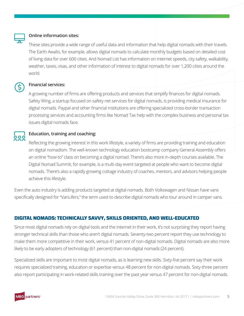

#### **Online information sites:**

These sites provide a wide range of useful data and information that help digital nomads with their travels. The Earth Awaits, for example, allows digital nomads to calculate monthly budgets based on detailed cost of living data for over 600 cities. And Nomad List has information on Internet speeds, city safety, walkability, weather, taxes, visas, and other information of interest to digital nomads for over 1,200 cities around the world.

#### **Financial services:**

A growing number of firms are offering products and services that simplify finances for digital nomads. Safety Wing, a startup focused on safety net services for digital nomads, is providing medical insurance for digital nomads. Paypal and other financial institutions are offering specialized cross-border transaction processing services and accounting firms like Nomad Tax help with the complex business and personal tax issues digital nomads face.

# **Education, training and coaching:**

Reflecting the growing interest in this work lifestyle, a variety of firms are providing training and education on digital nomadism. The well-known technology education bootcamp company General Assembly offers an online "how-to" class on becoming a digital nomad. There's also more in-depth courses available. The Digital Nomad Summit, for example, is a multi-day event targeted at people who want to become digital nomads. There's also a rapidly growing cottage industry of coaches, mentors, and advisors helping people achieve this lifestyle.

Even the auto industry is adding products targeted at digital nomads. Both Volkswagen and Nissan have vans specifically designed for "VanLifers," the term used to describe digital nomads who tour around in camper vans.

## **DIGITAL NOMADS: TECHNICALLY SAVVY, SKILLS ORIENTED, AND WELL-EDUCATED**

Since most digital nomads rely on digital tools and the Internet in their work, it's not surprising they report having stronger technical skills than those who aren't digital nomads. Seventy-two percent report they use technology to make them more competitive in their work, versus 41 percent of non-digital nomads. Digital nomads are also more likely to be early adopters of technology (61 percent) than non-digital nomads (24 percent).

Specialized skills are important to most digital nomads, as is learning new skills. Sixty-five percent say their work requires specialized training, education or expertise versus 48 percent for non-digital nomads. Sixty-three percent also report participating in work-related skills training over the past year versus 47 percent for non-digital nomads.

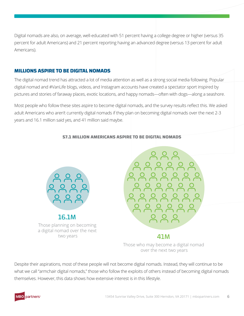Digital nomads are also, on average, well-educated with 51 percent having a college degree or higher (versus 35 percent for adult Americans) and 21 percent reporting having an advanced degree (versus 13 percent for adult Americans).

# **MILLIONS ASPIRE TO BE DIGITAL NOMADS**

The digital nomad trend has attracted a lot of media attention as well as a strong social media following. Popular digital nomad and #VanLife blogs, videos, and Instagram accounts have created a spectator sport inspired by pictures and stories of faraway places, exotic locations, and happy nomads—often with dogs—along a seashore.

Most people who follow these sites aspire to become digital nomads, and the survey results reflect this. We asked adult Americans who aren't currently digital nomads if they plan on becoming digital nomads over the next 2-3 years and 16.1 million said yes, and 41 million said maybe.



#### **57.1 MILLION AMERICANS ASPIRE TO BE DIGITAL NOMADS**



# 41M

Those who may become a digital nomad over the next two years

Despite their aspirations, most of these people will not become digital nomads. Instead, they will continue to be what we call "armchair digital nomads," those who follow the exploits of others instead of becoming digital nomads themselves. However, this data shows how extensive interest is in this lifestyle.

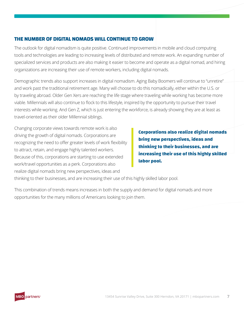# **THE NUMBER OF DIGITAL NOMADS WILL CONTINUE TO GROW**

The outlook for digital nomadism is quite positive. Continued improvements in mobile and cloud computing tools and technologies are leading to increasing levels of distributed and remote work. An expanding number of specialized services and products are also making it easier to become and operate as a digital nomad, and hiring organizations are increasing their use of remote workers, including digital nomads.

Demographic trends also support increases in digital nomadism. Aging Baby Boomers will continue to "unretire" and work past the traditional retirement age. Many will choose to do this nomadically, either within the U.S. or by traveling abroad. Older Gen Xers are reaching the life stage where traveling while working has become more viable. Millennials will also continue to flock to this lifestyle, inspired by the opportunity to pursue their travel interests while working. And Gen Z, which is just entering the workforce, is already showing they are at least as travel-oriented as their older Millennial siblings.

Changing corporate views towards remote work is also driving the growth of digital nomads. Corporations are recognizing the need to offer greater levels of work flexibility to attract, retain, and engage highly talented workers. Because of this, corporations are starting to use extended work/travel opportunities as a perk. Corporations also realize digital nomads bring new perspectives, ideas and

**Corporations also realize digital nomads bring new perspectives, ideas and thinking to their businesses, and are increasing their use of this highly skilled labor pool.**

thinking to their businesses, and are increasing their use of this highly skilled labor pool.

This combination of trends means increases in both the supply and demand for digital nomads and more opportunities for the many millions of Americans looking to join them.